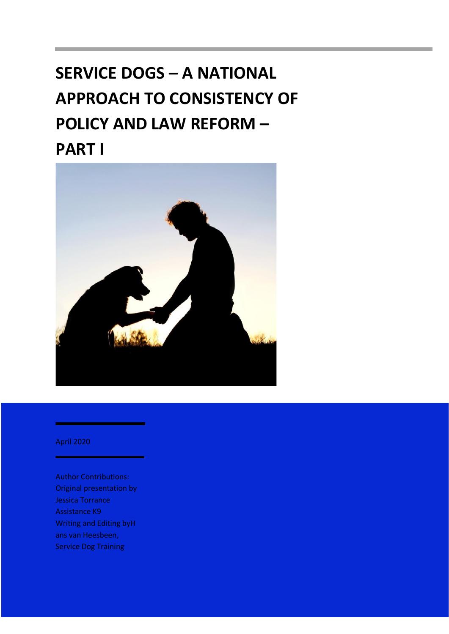# **SERVICE DOGS – A NATIONAL APPROACH TO CONSISTENCY OF POLICY AND LAW REFORM – PART I**



April 2020

Author Contributions: Original presentation by Jessica Torrance Assistance K9 Writing and Editing byH ans van Heesbeen, Service Dog Training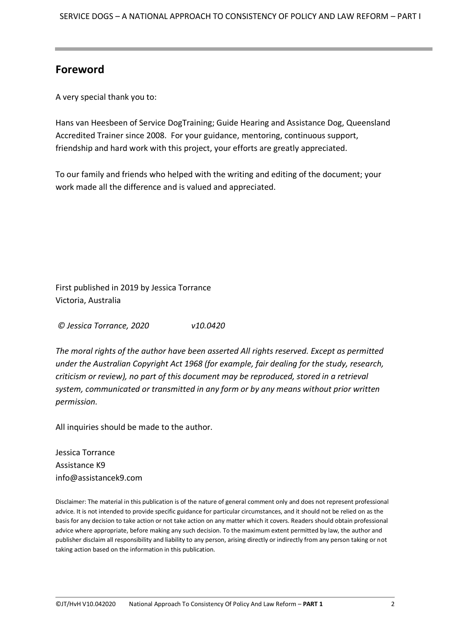#### **Foreword**

A very special thank you to:

Hans van Heesbeen of Service DogTraining; Guide Hearing and Assistance Dog, Queensland Accredited Trainer since 2008. For your guidance, mentoring, continuous support, friendship and hard work with this project, your efforts are greatly appreciated.

To our family and friends who helped with the writing and editing of the document; your work made all the difference and is valued and appreciated.

First published in 2019 by Jessica Torrance Victoria, Australia

*© Jessica Torrance, 2020 v10.0420*

*The moral rights of the author have been asserted All rights reserved. Except as permitted under the Australian Copyright Act 1968 (for example, fair dealing for the study, research, criticism or review), no part of this document may be reproduced, stored in a retrieval system, communicated or transmitted in any form or by any means without prior written permission.*

All inquiries should be made to the author.

Jessica Torrance Assistance K9 info@assistancek9.com

Disclaimer: The material in this publication is of the nature of general comment only and does not represent professional advice. It is not intended to provide specific guidance for particular circumstances, and it should not be relied on as the basis for any decision to take action or not take action on any matter which it covers. Readers should obtain professional advice where appropriate, before making any such decision. To the maximum extent permitted by law, the author and publisher disclaim all responsibility and liability to any person, arising directly or indirectly from any person taking or not taking action based on the information in this publication.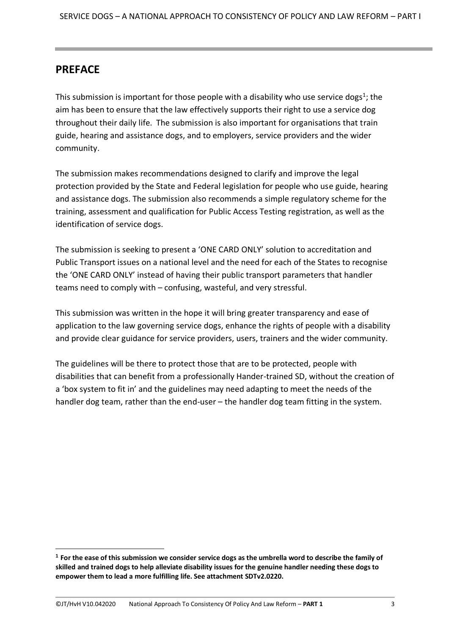#### <span id="page-2-0"></span>**PREFACE**

This submission is important for those people with a disability who use service dogs<sup>1</sup>; the aim has been to ensure that the law effectively supports their right to use a service dog throughout their daily life. The submission is also important for organisations that train guide, hearing and assistance dogs, and to employers, service providers and the wider community.

The submission makes recommendations designed to clarify and improve the legal protection provided by the State and Federal legislation for people who use guide, hearing and assistance dogs. The submission also recommends a simple regulatory scheme for the training, assessment and qualification for Public Access Testing registration, as well as the identification of service dogs.

The submission is seeking to present a 'ONE CARD ONLY' solution to accreditation and Public Transport issues on a national level and the need for each of the States to recognise the 'ONE CARD ONLY' instead of having their public transport parameters that handler teams need to comply with – confusing, wasteful, and very stressful.

This submission was written in the hope it will bring greater transparency and ease of application to the law governing service dogs, enhance the rights of people with a disability and provide clear guidance for service providers, users, trainers and the wider community.

The guidelines will be there to protect those that are to be protected, people with disabilities that can benefit from a professionally Hander-trained SD, without the creation of a 'box system to fit in' and the guidelines may need adapting to meet the needs of the handler dog team, rather than the end-user – the handler dog team fitting in the system.

**<sup>1</sup> For the ease of this submission we consider service dogs as the umbrella word to describe the family of skilled and trained dogs to help alleviate disability issues for the genuine handler needing these dogs to empower them to lead a more fulfilling life. See attachment SDTv2.0220.**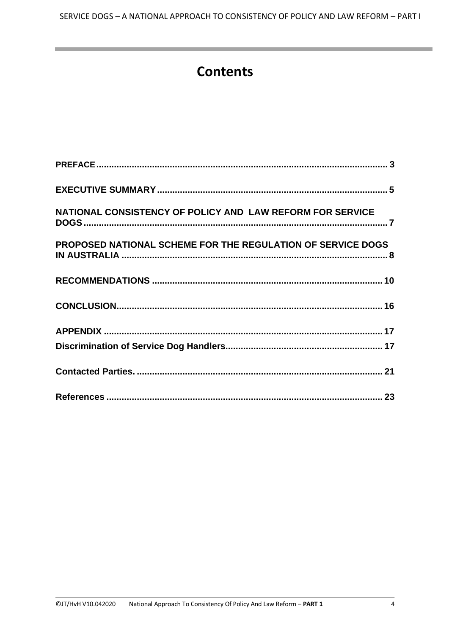# **Contents**

<span id="page-3-0"></span>

| NATIONAL CONSISTENCY OF POLICY AND LAW REFORM FOR SERVICE   |  |
|-------------------------------------------------------------|--|
| PROPOSED NATIONAL SCHEME FOR THE REGULATION OF SERVICE DOGS |  |
|                                                             |  |
|                                                             |  |
|                                                             |  |
|                                                             |  |
|                                                             |  |
|                                                             |  |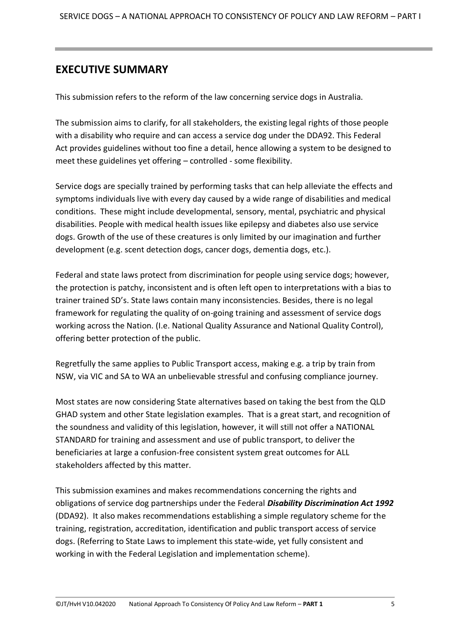#### **EXECUTIVE SUMMARY**

This submission refers to the reform of the law concerning service dogs in Australia.

The submission aims to clarify, for all stakeholders, the existing legal rights of those people with a disability who require and can access a service dog under the DDA92. This Federal Act provides guidelines without too fine a detail, hence allowing a system to be designed to meet these guidelines yet offering – controlled - some flexibility.

Service dogs are specially trained by performing tasks that can help alleviate the effects and symptoms individuals live with every day caused by a wide range of disabilities and medical conditions. These might include developmental, sensory, mental, psychiatric and physical disabilities. People with medical health issues like epilepsy and diabetes also use service dogs. Growth of the use of these creatures is only limited by our imagination and further development (e.g. scent detection dogs, cancer dogs, dementia dogs, etc.).

Federal and state laws protect from discrimination for people using service dogs; however, the protection is patchy, inconsistent and is often left open to interpretations with a bias to trainer trained SD's. State laws contain many inconsistencies. Besides, there is no legal framework for regulating the quality of on-going training and assessment of service dogs working across the Nation. (I.e. National Quality Assurance and National Quality Control), offering better protection of the public.

Regretfully the same applies to Public Transport access, making e.g. a trip by train from NSW, via VIC and SA to WA an unbelievable stressful and confusing compliance journey.

Most states are now considering State alternatives based on taking the best from the QLD GHAD system and other State legislation examples. That is a great start, and recognition of the soundness and validity of this legislation, however, it will still not offer a NATIONAL STANDARD for training and assessment and use of public transport, to deliver the beneficiaries at large a confusion-free consistent system great outcomes for ALL stakeholders affected by this matter.

This submission examines and makes recommendations concerning the rights and obligations of service dog partnerships under the Federal *Disability Discrimination Act 1992* (DDA92). It also makes recommendations establishing a simple regulatory scheme for the training, registration, accreditation, identification and public transport access of service dogs. (Referring to State Laws to implement this state-wide, yet fully consistent and working in with the Federal Legislation and implementation scheme).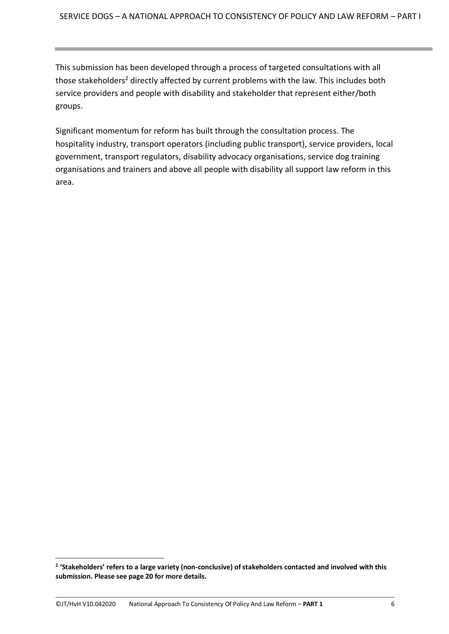This submission has been developed through a process of targeted consultations with all those stakeholders<sup>2</sup> directly affected by current problems with the law. This includes both service providers and people with disability and stakeholder that represent either/both groups.

Significant momentum for reform has built through the consultation process. The hospitality industry, transport operators (including public transport), service providers, local government, transport regulators, disability advocacy organisations, service dog training organisations and trainers and above all people with disability all support law reform in this area.

**<sup>2</sup> 'Stakeholders' refers to a large variety (non-conclusive) of stakeholders contacted and involved with this submission. Please see page 20 for more details.**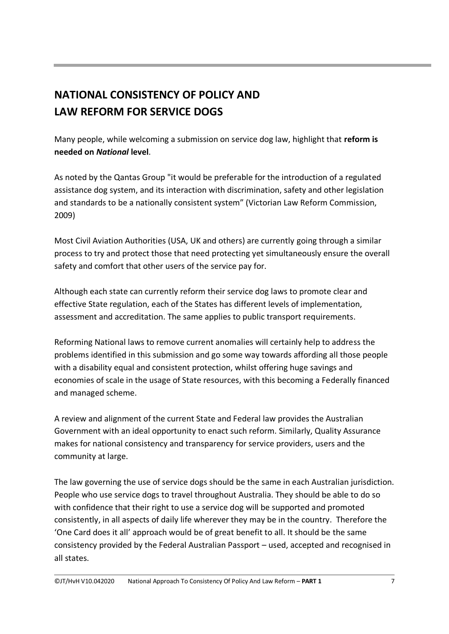# <span id="page-6-0"></span>**NATIONAL CONSISTENCY OF POLICY AND LAW REFORM FOR SERVICE DOGS**

Many people, while welcoming a submission on service dog law, highlight that **reform is needed on** *National* **level**.

As noted by the Qantas Group "it would be preferable for the introduction of a regulated assistance dog system, and its interaction with discrimination, safety and other legislation and standards to be a nationally consistent system" (Victorian Law Reform Commission, 2009)

Most Civil Aviation Authorities (USA, UK and others) are currently going through a similar process to try and protect those that need protecting yet simultaneously ensure the overall safety and comfort that other users of the service pay for.

Although each state can currently reform their service dog laws to promote clear and effective State regulation, each of the States has different levels of implementation, assessment and accreditation. The same applies to public transport requirements.

Reforming National laws to remove current anomalies will certainly help to address the problems identified in this submission and go some way towards affording all those people with a disability equal and consistent protection, whilst offering huge savings and economies of scale in the usage of State resources, with this becoming a Federally financed and managed scheme.

A review and alignment of the current State and Federal law provides the Australian Government with an ideal opportunity to enact such reform. Similarly, Quality Assurance makes for national consistency and transparency for service providers, users and the community at large.

The law governing the use of service dogs should be the same in each Australian jurisdiction. People who use service dogs to travel throughout Australia. They should be able to do so with confidence that their right to use a service dog will be supported and promoted consistently, in all aspects of daily life wherever they may be in the country. Therefore the 'One Card does it all' approach would be of great benefit to all. It should be the same consistency provided by the Federal Australian Passport – used, accepted and recognised in all states.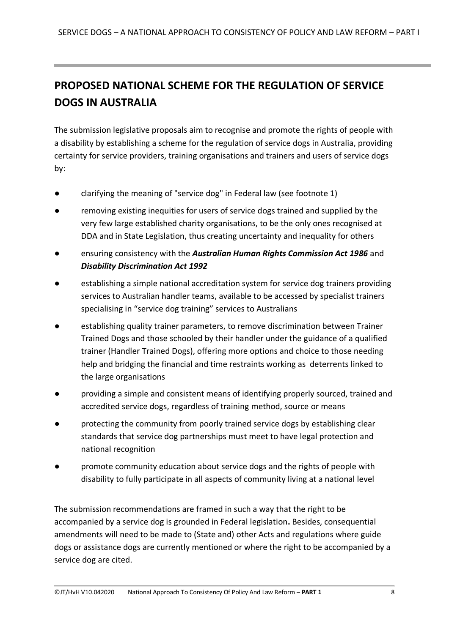# <span id="page-7-0"></span>**PROPOSED NATIONAL SCHEME FOR THE REGULATION OF SERVICE DOGS IN AUSTRALIA**

The submission legislative proposals aim to recognise and promote the rights of people with a disability by establishing a scheme for the regulation of service dogs in Australia, providing certainty for service providers, training organisations and trainers and users of service dogs by:

- clarifying the meaning of "service dog" in Federal law (see footnote 1)
- removing existing inequities for users of service dogs trained and supplied by the very few large established charity organisations, to be the only ones recognised at DDA and in State Legislation, thus creating uncertainty and inequality for others
- ensuring consistency with the *Australian Human Rights Commission Act 1986* and *Disability Discrimination Act 1992*
- establishing a simple national accreditation system for service dog trainers providing services to Australian handler teams, available to be accessed by specialist trainers specialising in "service dog training" services to Australians
- establishing quality trainer parameters, to remove discrimination between Trainer Trained Dogs and those schooled by their handler under the guidance of a qualified trainer (Handler Trained Dogs), offering more options and choice to those needing help and bridging the financial and time restraints working as deterrents linked to the large organisations
- providing a simple and consistent means of identifying properly sourced, trained and accredited service dogs, regardless of training method, source or means
- protecting the community from poorly trained service dogs by establishing clear standards that service dog partnerships must meet to have legal protection and national recognition
- promote community education about service dogs and the rights of people with disability to fully participate in all aspects of community living at a national level

The submission recommendations are framed in such a way that the right to be accompanied by a service dog is grounded in Federal legislation**.** Besides, consequential amendments will need to be made to (State and) other Acts and regulations where guide dogs or assistance dogs are currently mentioned or where the right to be accompanied by a service dog are cited.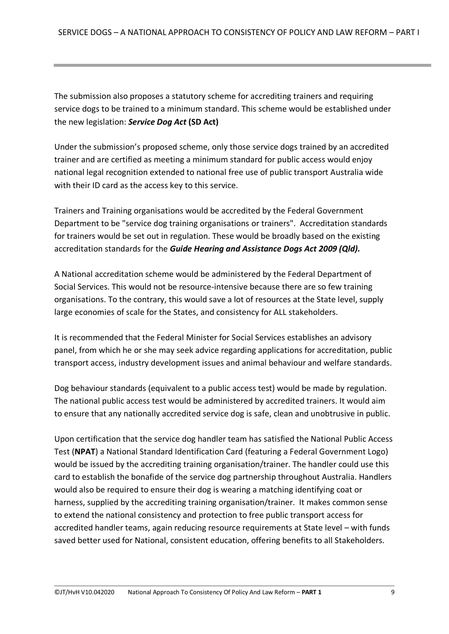The submission also proposes a statutory scheme for accrediting trainers and requiring service dogs to be trained to a minimum standard. This scheme would be established under the new legislation: *Service Dog Act* **(SD Act)**

Under the submission's proposed scheme, only those service dogs trained by an accredited trainer and are certified as meeting a minimum standard for public access would enjoy national legal recognition extended to national free use of public transport Australia wide with their ID card as the access key to this service.

Trainers and Training organisations would be accredited by the Federal Government Department to be "service dog training organisations or trainers". Accreditation standards for trainers would be set out in regulation. These would be broadly based on the existing accreditation standards for the *Guide Hearing and Assistance Dogs Act 2009 (Qld).*

A National accreditation scheme would be administered by the Federal Department of Social Services. This would not be resource-intensive because there are so few training organisations. To the contrary, this would save a lot of resources at the State level, supply large economies of scale for the States, and consistency for ALL stakeholders.

It is recommended that the Federal Minister for Social Services establishes an advisory panel, from which he or she may seek advice regarding applications for accreditation, public transport access, industry development issues and animal behaviour and welfare standards.

Dog behaviour standards (equivalent to a public access test) would be made by regulation. The national public access test would be administered by accredited trainers. It would aim to ensure that any nationally accredited service dog is safe, clean and unobtrusive in public.

Upon certification that the service dog handler team has satisfied the National Public Access Test (**NPAT**) a National Standard Identification Card (featuring a Federal Government Logo) would be issued by the accrediting training organisation/trainer. The handler could use this card to establish the bonafide of the service dog partnership throughout Australia. Handlers would also be required to ensure their dog is wearing a matching identifying coat or harness, supplied by the accrediting training organisation/trainer. It makes common sense to extend the national consistency and protection to free public transport access for accredited handler teams, again reducing resource requirements at State level – with funds saved better used for National, consistent education, offering benefits to all Stakeholders.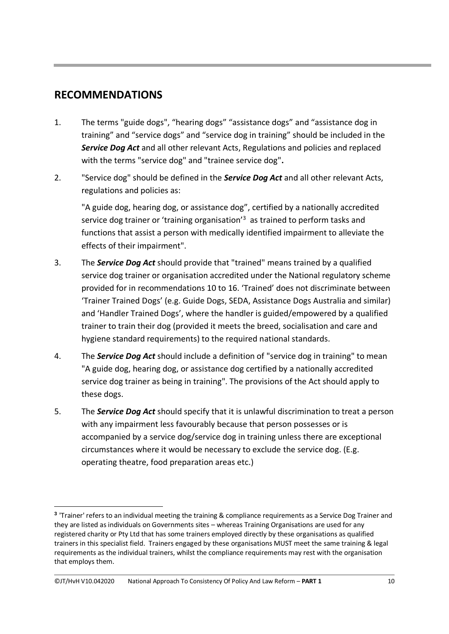#### <span id="page-9-0"></span>**RECOMMENDATIONS**

- 1. The terms "guide dogs", "hearing dogs" "assistance dogs" and "assistance dog in training" and "service dogs" and "service dog in training" should be included in the *Service Dog Act* and all other relevant Acts, Regulations and policies and replaced with the terms "service dog" and "trainee service dog"**.**
- 2. "Service dog" should be defined in the *Service Dog Act* and all other relevant Acts, regulations and policies as:

"A guide dog, hearing dog, or assistance dog", certified by a nationally accredited service dog trainer or 'training organisation'<sup>3</sup> as trained to perform tasks and functions that assist a person with medically identified impairment to alleviate the effects of their impairment".

- 3. The *Service Dog Act* should provide that "trained" means trained by a qualified service dog trainer or organisation accredited under the National regulatory scheme provided for in recommendations 10 to 16. 'Trained' does not discriminate between 'Trainer Trained Dogs' (e.g. Guide Dogs, SEDA, Assistance Dogs Australia and similar) and 'Handler Trained Dogs', where the handler is guided/empowered by a qualified trainer to train their dog (provided it meets the breed, socialisation and care and hygiene standard requirements) to the required national standards.
- 4. The *Service Dog Act* should include a definition of "service dog in training" to mean "A guide dog, hearing dog, or assistance dog certified by a nationally accredited service dog trainer as being in training". The provisions of the Act should apply to these dogs.
- 5. The *Service Dog Act* should specify that it is unlawful discrimination to treat a person with any impairment less favourably because that person possesses or is accompanied by a service dog/service dog in training unless there are exceptional circumstances where it would be necessary to exclude the service dog. (E.g. operating theatre, food preparation areas etc.)

©JT/HvH V10.042020 National Approach To Consistency Of Policy And Law Reform – **PART 1** 10

**<sup>3</sup>** 'Trainer' refers to an individual meeting the training & compliance requirements as a Service Dog Trainer and they are listed as individuals on Governments sites – whereas Training Organisations are used for any registered charity or Pty Ltd that has some trainers employed directly by these organisations as qualified trainers in this specialist field. Trainers engaged by these organisations MUST meet the same training & legal requirements as the individual trainers, whilst the compliance requirements may rest with the organisation that employs them.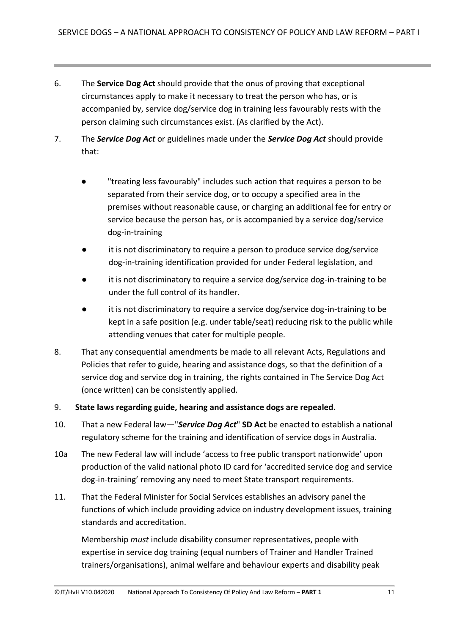- 6. The **Service Dog Act** should provide that the onus of proving that exceptional circumstances apply to make it necessary to treat the person who has, or is accompanied by, service dog/service dog in training less favourably rests with the person claiming such circumstances exist. (As clarified by the Act).
- 7. The *Service Dog Act* or guidelines made under the *Service Dog Act* should provide that:
	- "treating less favourably" includes such action that requires a person to be separated from their service dog, or to occupy a specified area in the premises without reasonable cause, or charging an additional fee for entry or service because the person has, or is accompanied by a service dog/service dog-in-training
	- it is not discriminatory to require a person to produce service dog/service dog-in-training identification provided for under Federal legislation, and
	- it is not discriminatory to require a service dog/service dog-in-training to be under the full control of its handler.
	- it is not discriminatory to require a service dog/service dog-in-training to be kept in a safe position (e.g. under table/seat) reducing risk to the public while attending venues that cater for multiple people.
- 8. That any consequential amendments be made to all relevant Acts, Regulations and Policies that refer to guide, hearing and assistance dogs, so that the definition of a service dog and service dog in training, the rights contained in The Service Dog Act (once written) can be consistently applied.
- 9. **State laws regarding guide, hearing and assistance dogs are repealed.**
- 10. That a new Federal law—"*Service Dog Act*" **SD Act** be enacted to establish a national regulatory scheme for the training and identification of service dogs in Australia.
- 10a The new Federal law will include 'access to free public transport nationwide' upon production of the valid national photo ID card for 'accredited service dog and service dog-in-training' removing any need to meet State transport requirements.
- 11. That the Federal Minister for Social Services establishes an advisory panel the functions of which include providing advice on industry development issues, training standards and accreditation.

Membership *must* include disability consumer representatives, people with expertise in service dog training (equal numbers of Trainer and Handler Trained trainers/organisations), animal welfare and behaviour experts and disability peak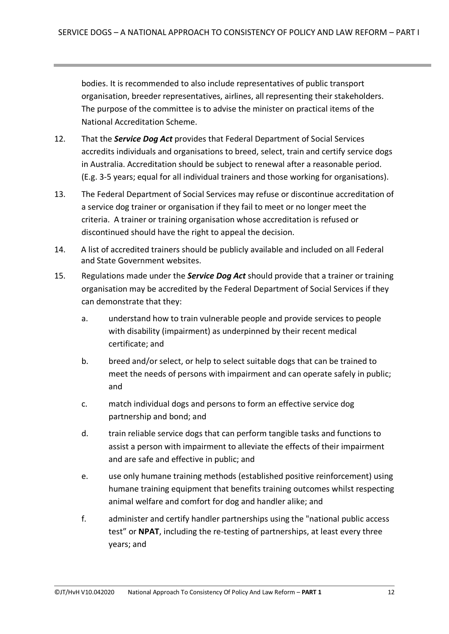bodies. It is recommended to also include representatives of public transport organisation, breeder representatives, airlines, all representing their stakeholders. The purpose of the committee is to advise the minister on practical items of the National Accreditation Scheme.

- 12. That the *Service Dog Act* provides that Federal Department of Social Services accredits individuals and organisations to breed, select, train and certify service dogs in Australia. Accreditation should be subject to renewal after a reasonable period. (E.g. 3-5 years; equal for all individual trainers and those working for organisations).
- 13. The Federal Department of Social Services may refuse or discontinue accreditation of a service dog trainer or organisation if they fail to meet or no longer meet the criteria. A trainer or training organisation whose accreditation is refused or discontinued should have the right to appeal the decision.
- 14. A list of accredited trainers should be publicly available and included on all Federal and State Government websites.
- 15. Regulations made under the *Service Dog Act* should provide that a trainer or training organisation may be accredited by the Federal Department of Social Services if they can demonstrate that they:
	- a. understand how to train vulnerable people and provide services to people with disability (impairment) as underpinned by their recent medical certificate; and
	- b. breed and/or select, or help to select suitable dogs that can be trained to meet the needs of persons with impairment and can operate safely in public; and
	- c. match individual dogs and persons to form an effective service dog partnership and bond; and
	- d. train reliable service dogs that can perform tangible tasks and functions to assist a person with impairment to alleviate the effects of their impairment and are safe and effective in public; and
	- e. use only humane training methods (established positive reinforcement) using humane training equipment that benefits training outcomes whilst respecting animal welfare and comfort for dog and handler alike; and
	- f. administer and certify handler partnerships using the "national public access test" or **NPAT**, including the re-testing of partnerships, at least every three years; and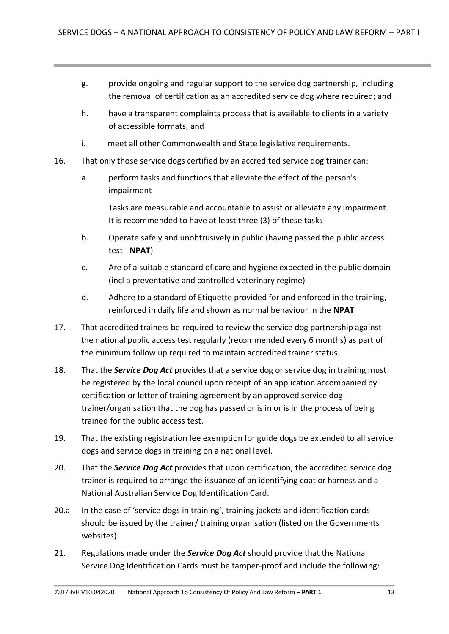- g. provide ongoing and regular support to the service dog partnership, including the removal of certification as an accredited service dog where required; and
- h. have a transparent complaints process that is available to clients in a variety of accessible formats, and
- i. meet all other Commonwealth and State legislative requirements.
- 16. That only those service dogs certified by an accredited service dog trainer can:
	- a. perform tasks and functions that alleviate the effect of the person's impairment

Tasks are measurable and accountable to assist or alleviate any impairment. It is recommended to have at least three (3) of these tasks

- b. Operate safely and unobtrusively in public (having passed the public access test - **NPAT**)
- c. Are of a suitable standard of care and hygiene expected in the public domain (incl a preventative and controlled veterinary regime)
- d. Adhere to a standard of Etiquette provided for and enforced in the training, reinforced in daily life and shown as normal behaviour in the **NPAT**
- 17. That accredited trainers be required to review the service dog partnership against the national public access test regularly (recommended every 6 months) as part of the minimum follow up required to maintain accredited trainer status.
- 18. That the *Service Dog Act* provides that a service dog or service dog in training must be registered by the local council upon receipt of an application accompanied by certification or letter of training agreement by an approved service dog trainer/organisation that the dog has passed or is in or is in the process of being trained for the public access test.
- 19. That the existing registration fee exemption for guide dogs be extended to all service dogs and service dogs in training on a national level.
- 20. That the *Service Dog Act* provides that upon certification, the accredited service dog trainer is required to arrange the issuance of an identifying coat or harness and a National Australian Service Dog Identification Card.
- 20.a In the case of 'service dogs in training', training jackets and identification cards should be issued by the trainer/ training organisation (listed on the Governments websites)
- 21. Regulations made under the *Service Dog Act* should provide that the National Service Dog Identification Cards must be tamper-proof and include the following: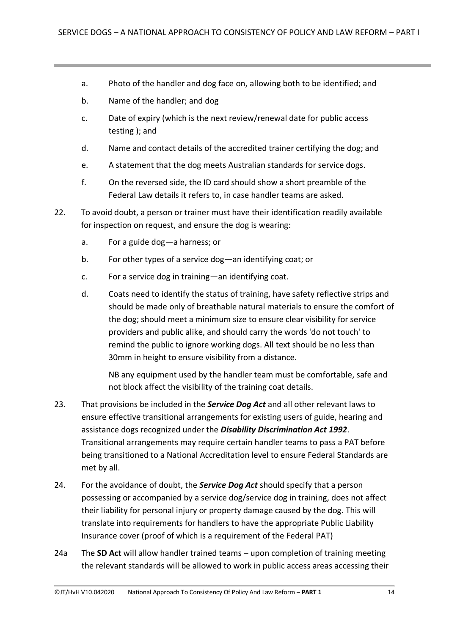- a. Photo of the handler and dog face on, allowing both to be identified; and
- b. Name of the handler; and dog
- c. Date of expiry (which is the next review/renewal date for public access testing ); and
- d. Name and contact details of the accredited trainer certifying the dog; and
- e. A statement that the dog meets Australian standards for service dogs.
- f. On the reversed side, the ID card should show a short preamble of the Federal Law details it refers to, in case handler teams are asked.
- 22. To avoid doubt, a person or trainer must have their identification readily available for inspection on request, and ensure the dog is wearing:
	- a. For a guide dog—a harness; or
	- b. For other types of a service dog—an identifying coat; or
	- c. For a service dog in training—an identifying coat.
	- d. Coats need to identify the status of training, have safety reflective strips and should be made only of breathable natural materials to ensure the comfort of the dog; should meet a minimum size to ensure clear visibility for service providers and public alike, and should carry the words 'do not touch' to remind the public to ignore working dogs. All text should be no less than 30mm in height to ensure visibility from a distance.

NB any equipment used by the handler team must be comfortable, safe and not block affect the visibility of the training coat details.

- 23. That provisions be included in the *Service Dog Act* and all other relevant laws to ensure effective transitional arrangements for existing users of guide, hearing and assistance dogs recognized under the *Disability Discrimination Act 1992*. Transitional arrangements may require certain handler teams to pass a PAT before being transitioned to a National Accreditation level to ensure Federal Standards are met by all.
- 24. For the avoidance of doubt, the *Service Dog Act* should specify that a person possessing or accompanied by a service dog/service dog in training, does not affect their liability for personal injury or property damage caused by the dog. This will translate into requirements for handlers to have the appropriate Public Liability Insurance cover (proof of which is a requirement of the Federal PAT)
- 24a The **SD Act** will allow handler trained teams upon completion of training meeting the relevant standards will be allowed to work in public access areas accessing their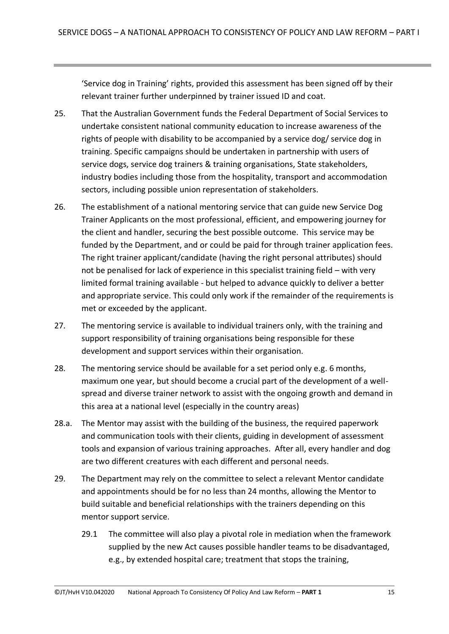'Service dog in Training' rights, provided this assessment has been signed off by their relevant trainer further underpinned by trainer issued ID and coat.

- 25. That the Australian Government funds the Federal Department of Social Services to undertake consistent national community education to increase awareness of the rights of people with disability to be accompanied by a service dog/ service dog in training. Specific campaigns should be undertaken in partnership with users of service dogs, service dog trainers & training organisations, State stakeholders, industry bodies including those from the hospitality, transport and accommodation sectors, including possible union representation of stakeholders.
- 26. The establishment of a national mentoring service that can guide new Service Dog Trainer Applicants on the most professional, efficient, and empowering journey for the client and handler, securing the best possible outcome. This service may be funded by the Department, and or could be paid for through trainer application fees. The right trainer applicant/candidate (having the right personal attributes) should not be penalised for lack of experience in this specialist training field – with very limited formal training available - but helped to advance quickly to deliver a better and appropriate service. This could only work if the remainder of the requirements is met or exceeded by the applicant.
- 27. The mentoring service is available to individual trainers only, with the training and support responsibility of training organisations being responsible for these development and support services within their organisation.
- 28. The mentoring service should be available for a set period only e.g. 6 months, maximum one year, but should become a crucial part of the development of a wellspread and diverse trainer network to assist with the ongoing growth and demand in this area at a national level (especially in the country areas)
- 28.a. The Mentor may assist with the building of the business, the required paperwork and communication tools with their clients, guiding in development of assessment tools and expansion of various training approaches. After all, every handler and dog are two different creatures with each different and personal needs.
- 29. The Department may rely on the committee to select a relevant Mentor candidate and appointments should be for no less than 24 months, allowing the Mentor to build suitable and beneficial relationships with the trainers depending on this mentor support service.
	- 29.1 The committee will also play a pivotal role in mediation when the framework supplied by the new Act causes possible handler teams to be disadvantaged, e.g., by extended hospital care; treatment that stops the training,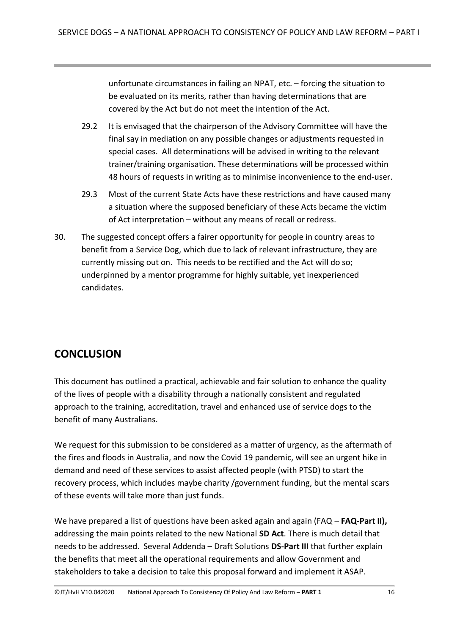unfortunate circumstances in failing an NPAT, etc. – forcing the situation to be evaluated on its merits, rather than having determinations that are covered by the Act but do not meet the intention of the Act.

- 29.2 It is envisaged that the chairperson of the Advisory Committee will have the final say in mediation on any possible changes or adjustments requested in special cases. All determinations will be advised in writing to the relevant trainer/training organisation. These determinations will be processed within 48 hours of requests in writing as to minimise inconvenience to the end-user.
- 29.3 Most of the current State Acts have these restrictions and have caused many a situation where the supposed beneficiary of these Acts became the victim of Act interpretation – without any means of recall or redress.
- 30. The suggested concept offers a fairer opportunity for people in country areas to benefit from a Service Dog, which due to lack of relevant infrastructure, they are currently missing out on. This needs to be rectified and the Act will do so; underpinned by a mentor programme for highly suitable, yet inexperienced candidates.

## <span id="page-15-0"></span>**CONCLUSION**

This document has outlined a practical, achievable and fair solution to enhance the quality of the lives of people with a disability through a nationally consistent and regulated approach to the training, accreditation, travel and enhanced use of service dogs to the benefit of many Australians.

We request for this submission to be considered as a matter of urgency, as the aftermath of the fires and floods in Australia, and now the Covid 19 pandemic, will see an urgent hike in demand and need of these services to assist affected people (with PTSD) to start the recovery process, which includes maybe charity /government funding, but the mental scars of these events will take more than just funds.

We have prepared a list of questions have been asked again and again (FAQ – **FAQ-Part II)**, addressing the main points related to the new National **SD Act**. There is much detail that needs to be addressed. Several Addenda – Draft Solutions **DS-Part III** that further explain the benefits that meet all the operational requirements and allow Government and stakeholders to take a decision to take this proposal forward and implement it ASAP.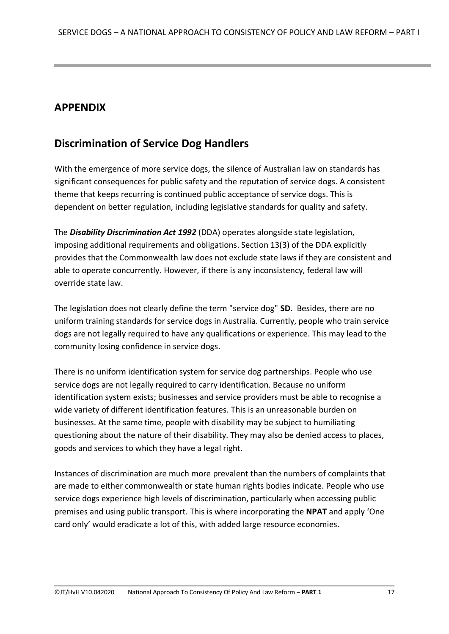### <span id="page-16-0"></span>**APPENDIX**

### <span id="page-16-1"></span>**Discrimination of Service Dog Handlers**

With the emergence of more service dogs, the silence of Australian law on standards has significant consequences for public safety and the reputation of service dogs. A consistent theme that keeps recurring is continued public acceptance of service dogs. This is dependent on better regulation, including legislative standards for quality and safety.

The *Disability Discrimination Act 1992* (DDA) operates alongside state legislation, imposing additional requirements and obligations. Section 13(3) of the DDA explicitly provides that the Commonwealth law does not exclude state laws if they are consistent and able to operate concurrently. However, if there is any inconsistency, federal law will override state law.

The legislation does not clearly define the term "service dog" **SD**. Besides, there are no uniform training standards for service dogs in Australia. Currently, people who train service dogs are not legally required to have any qualifications or experience. This may lead to the community losing confidence in service dogs.

There is no uniform identification system for service dog partnerships. People who use service dogs are not legally required to carry identification. Because no uniform identification system exists; businesses and service providers must be able to recognise a wide variety of different identification features. This is an unreasonable burden on businesses. At the same time, people with disability may be subject to humiliating questioning about the nature of their disability. They may also be denied access to places, goods and services to which they have a legal right.

Instances of discrimination are much more prevalent than the numbers of complaints that are made to either commonwealth or state human rights bodies indicate. People who use service dogs experience high levels of discrimination, particularly when accessing public premises and using public transport. This is where incorporating the **NPAT** and apply 'One card only' would eradicate a lot of this, with added large resource economies.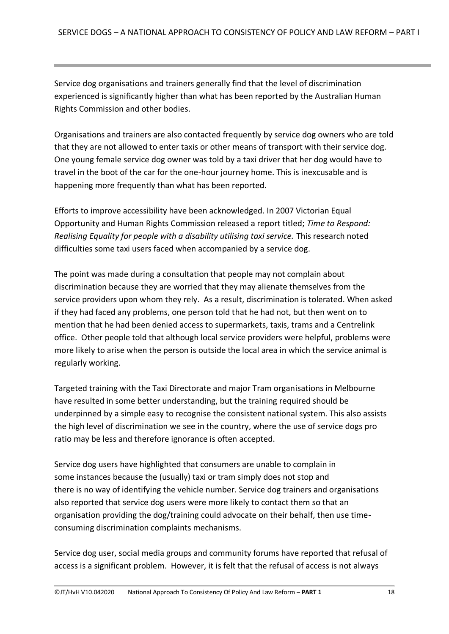Service dog organisations and trainers generally find that the level of discrimination experienced is significantly higher than what has been reported by the Australian Human Rights Commission and other bodies.

Organisations and trainers are also contacted frequently by service dog owners who are told that they are not allowed to enter taxis or other means of transport with their service dog. One young female service dog owner was told by a taxi driver that her dog would have to travel in the boot of the car for the one-hour journey home. This is inexcusable and is happening more frequently than what has been reported.

Efforts to improve accessibility have been acknowledged. In 2007 Victorian Equal Opportunity and Human Rights Commission released a report titled; *Time to Respond: Realising Equality for people with a disability utilising taxi service.* This research noted difficulties some taxi users faced when accompanied by a service dog.

The point was made during a consultation that people may not complain about discrimination because they are worried that they may alienate themselves from the service providers upon whom they rely. As a result, discrimination is tolerated. When asked if they had faced any problems, one person told that he had not, but then went on to mention that he had been denied access to supermarkets, taxis, trams and a Centrelink office. Other people told that although local service providers were helpful, problems were more likely to arise when the person is outside the local area in which the service animal is regularly working.

Targeted training with the Taxi Directorate and major Tram organisations in Melbourne have resulted in some better understanding, but the training required should be underpinned by a simple easy to recognise the consistent national system. This also assists the high level of discrimination we see in the country, where the use of service dogs pro ratio may be less and therefore ignorance is often accepted.

Service dog users have highlighted that consumers are unable to complain in some instances because the (usually) taxi or tram simply does not stop and there is no way of identifying the vehicle number. Service dog trainers and organisations also reported that service dog users were more likely to contact them so that an organisation providing the dog/training could advocate on their behalf, then use timeconsuming discrimination complaints mechanisms.

Service dog user, social media groups and community forums have reported that refusal of access is a significant problem. However, it is felt that the refusal of access is not always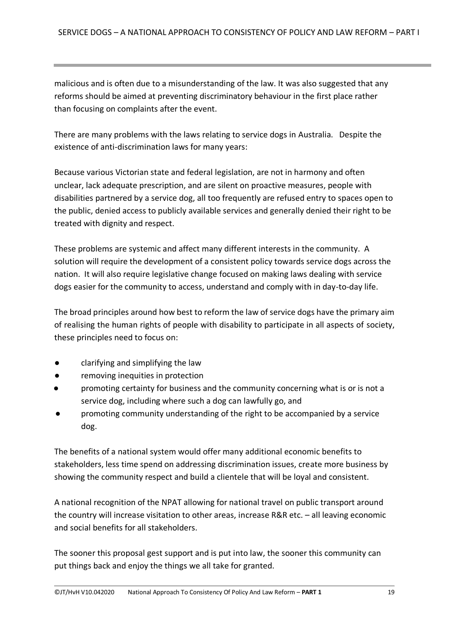malicious and is often due to a misunderstanding of the law. It was also suggested that any reforms should be aimed at preventing discriminatory behaviour in the first place rather than focusing on complaints after the event.

There are many problems with the laws relating to service dogs in Australia. Despite the existence of anti-discrimination laws for many years:

Because various Victorian state and federal legislation, are not in harmony and often unclear, lack adequate prescription, and are silent on proactive measures, people with disabilities partnered by a service dog, all too frequently are refused entry to spaces open to the public, denied access to publicly available services and generally denied their right to be treated with dignity and respect.

These problems are systemic and affect many different interests in the community. A solution will require the development of a consistent policy towards service dogs across the nation. It will also require legislative change focused on making laws dealing with service dogs easier for the community to access, understand and comply with in day-to-day life.

The broad principles around how best to reform the law of service dogs have the primary aim of realising the human rights of people with disability to participate in all aspects of society, these principles need to focus on:

- clarifying and simplifying the law
- removing inequities in protection
- promoting certainty for business and the community concerning what is or is not a service dog, including where such a dog can lawfully go, and
- promoting community understanding of the right to be accompanied by a service dog.

The benefits of a national system would offer many additional economic benefits to stakeholders, less time spend on addressing discrimination issues, create more business by showing the community respect and build a clientele that will be loyal and consistent.

A national recognition of the NPAT allowing for national travel on public transport around the country will increase visitation to other areas, increase R&R etc. – all leaving economic and social benefits for all stakeholders.

The sooner this proposal gest support and is put into law, the sooner this community can put things back and enjoy the things we all take for granted.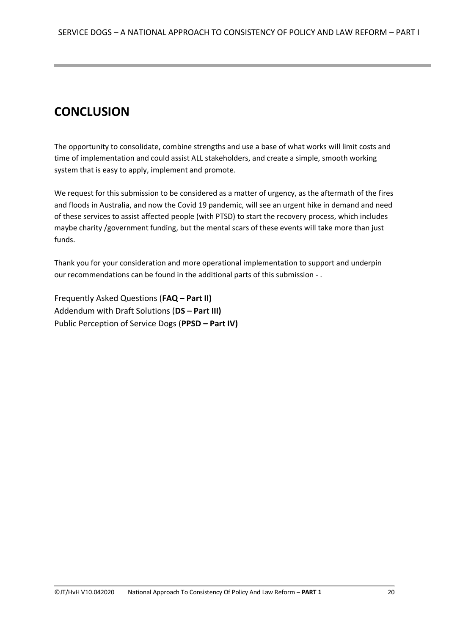# **CONCLUSION**

The opportunity to consolidate, combine strengths and use a base of what works will limit costs and time of implementation and could assist ALL stakeholders, and create a simple, smooth working system that is easy to apply, implement and promote.

We request for this submission to be considered as a matter of urgency, as the aftermath of the fires and floods in Australia, and now the Covid 19 pandemic, will see an urgent hike in demand and need of these services to assist affected people (with PTSD) to start the recovery process, which includes maybe charity /government funding, but the mental scars of these events will take more than just funds.

Thank you for your consideration and more operational implementation to support and underpin our recommendations can be found in the additional parts of this submission - .

Frequently Asked Questions (**FAQ – Part II)** Addendum with Draft Solutions (**DS – Part III)** Public Perception of Service Dogs (**PPSD – Part IV)**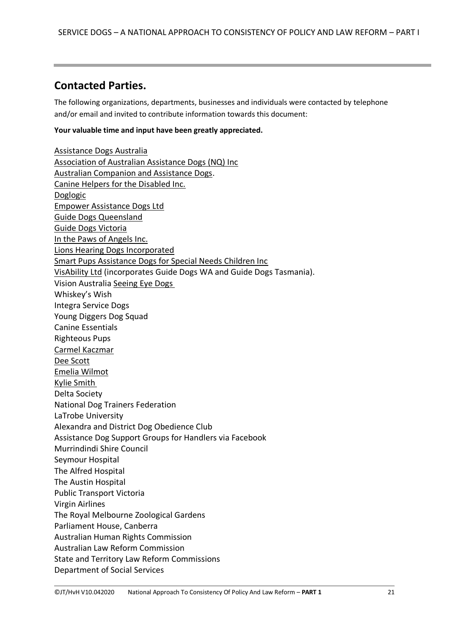#### <span id="page-20-0"></span>**Contacted Parties.**

The following organizations, departments, businesses and individuals were contacted by telephone and/or email and invited to contribute information towards this document:

#### **Your valuable time and input have been greatly appreciated.**

[Assistance Dogs Australia](http://www.assistancedogs.org.au/) [Association of Australian Assistance Dogs \(NQ\) Inc](http://www.asdogsnq.com.au/) [Australian Companion and Assistance Dogs.](http://www.acad.org.au/) [Canine Helpers for the Disabled Inc.](http://www.caninehelpers.org.au/) [Doglogic](http://www.doglogic.com.au/) [Empower Assistance Dogs Ltd](https://www.empowerassistancedogs.org.au/) [Guide Dogs Queensland](http://www.guidedogsqld.com.au/) [Guide Dogs Victoria](http://www.guidedogsvictoria.com.au/) [In the Paws of Angels Inc.](mailto:inthepawsofangels@aol.com) [Lions Hearing Dogs Incorporated](http://hearingdogs.asn.au/) [Smart Pups Assistance Dogs for Special Needs Children Inc](http://www.smartpups.org.au/) [VisAbility Ltd](https://www.guidedogswa.com.au/) (incorporates Guide Dogs WA and Guide Dogs Tasmania). Vision Australia [Seeing Eye Dogs](http://www.seda.org.au/) Whiskey's Wish Integra Service Dogs Young Diggers Dog Squad Canine Essentials Righteous Pups [Carmel Kaczmar](mailto:training@adnsw.org.au) [Dee Scott](http://www.positiveresponse.net.au/) [Emelia Wilmot](http://www.musictherapyandthemind.com/serviceassistance-dog-training.html) [Kylie Smith](mailto:kylie@elitecanines.com.au) Delta Society National Dog Trainers Federation LaTrobe University Alexandra and District Dog Obedience Club Assistance Dog Support Groups for Handlers via Facebook Murrindindi Shire Council Seymour Hospital The Alfred Hospital The Austin Hospital Public Transport Victoria Virgin Airlines The Royal Melbourne Zoological Gardens Parliament House, Canberra Australian Human Rights Commission Australian Law Reform Commission State and Territory Law Reform Commissions Department of Social Services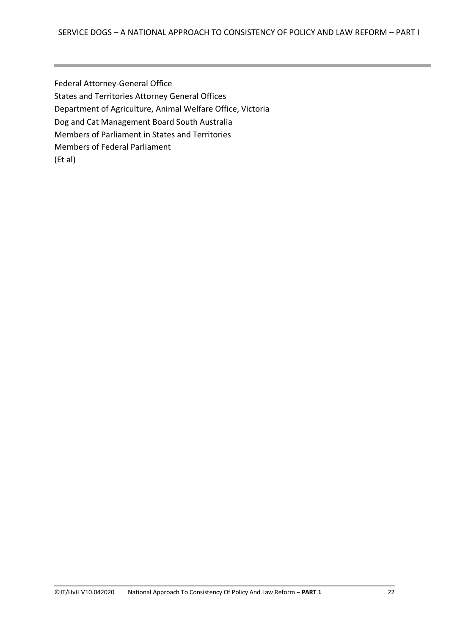Federal Attorney-General Office States and Territories Attorney General Offices Department of Agriculture, Animal Welfare Office, Victoria Dog and Cat Management Board South Australia Members of Parliament in States and Territories Members of Federal Parliament (Et al)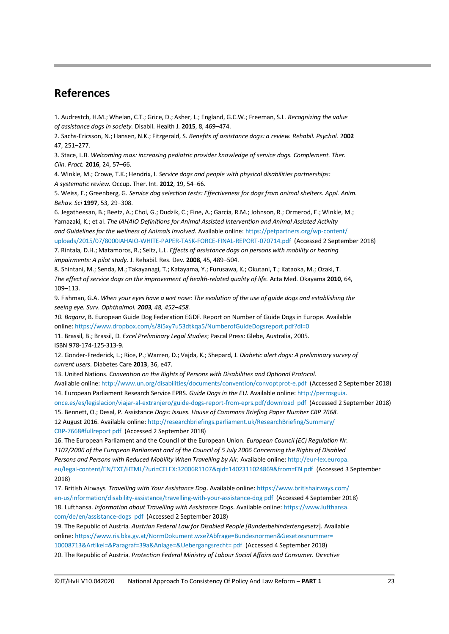#### <span id="page-22-0"></span>**References**

1. Audrestch, H.M.; Whelan, C.T.; Grice, D.; Asher, L.; England, G.C.W.; Freeman, S.L. *Recognizing the value of assistance dogs in society.* Disabil. Health J. **2015**, 8, 469–474.

2. Sachs-Ericsson, N.; Hansen, N.K.; Fitzgerald, S. *Benefits of assistance dogs: a review. Rehabil. Psychol*. 2**002** 47, 251–277.

3. Stace, L.B. *Welcoming max: increasing pediatric provider knowledge of service dogs. Complement. Ther. Clin. Pract.* **2016**, 24, 57–66.

4. Winkle, M.; Crowe, T.K.; Hendrix, I*. Service dogs and people with physical disabilities partnerships: A systematic review.* Occup. Ther. Int. **2012**, 19, 54–66.

5. Weiss, E.; Greenberg, G*. Service dog selection tests: Effectiveness for dogs from animal shelters. Appl. Anim. Behav. Sci* **1997**, 53, 29–308.

6. Jegatheesan, B.; Beetz, A.; Choi, G.; Dudzik, C.; Fine, A.; Garcia, R.M.; Johnson, R.; Ormerod, E.; Winkle, M.; Yamazaki, K.; et al. *The IAHAIO Definitions for Animal Assisted Intervention and Animal Assisted Activity and Guidelines for the wellness of Animals Involved.* Available online: https://petpartners.org/wp-content/ uploads/2015/07/8000IAHAIO-WHITE-PAPER-TASK-FORCE-FINAL-REPORT-070714.pdf (Accessed 2 September 2018) 7. Rintala, D.H.; Matamoros, R.; Seitz, L.L. *Effects of assistance dogs on persons with mobility or hearing impairments: A pilot study*. J. Rehabil. Res. Dev. **2008**, 45, 489–504.

8. Shintani, M.; Senda, M.; Takayanagi, T.; Katayama, Y.; Furusawa, K.; Okutani, T.; Kataoka, M.; Ozaki, T. *The effect of service dogs on the improvement of health-related quality of life.* Acta Med. Okayama **2010**, 64, 109–113.

9. Fishman, G.A. *When your eyes have a wet nose: The evolution of the use of guide dogs and establishing the seeing eye. Surv. Ophthalmol. 2003, 48, 452–458.* 

*10. Baganz*, B. European Guide Dog Federation EGDF. Report on Number of Guide Dogs in Europe. Available online: https://www.dropbox.com/s/8i5xy7u53dtkqa5/NumberofGuideDogsreport.pdf?dl=0

11. Brassil, B.; Brassil, D. *Excel Preliminary Legal Studies*; Pascal Press: Glebe, Australia, 2005. ISBN 978-174-125-313-9.

12. Gonder-Frederick, L.; Rice, P.; Warren, D.; Vajda, K.; Shepard, J*. Diabetic alert dogs: A preliminary survey of current users*. Diabetes Care **2013**, 36, e47.

13. United Nations. *Convention on the Rights of Persons with Disabilities and Optional Protocol.*

Available online: http://www.un.org/disabilities/documents/convention/convoptprot-e.pdf (Accessed 2 September 2018) 14. European Parliament Research Service EPRS. *Guide Dogs in the EU.* Available online: http://perrosguia.

once.es/es/legislacion/viajar-al-extranjero/guide-dogs-report-from-eprs.pdf/download pdf (Accessed 2 September 2018)

15. Bennett, O.; Desal, P. Assistance *Dogs: Issues. House of Commons Briefing Paper Number CBP 7668.*

12 August 2016. Available online: http://researchbriefings.parliament.uk/ResearchBriefing/Summary/ CBP-7668#fullreport pdf (Accessed 2 September 2018)

16. The European Parliament and the Council of the European Union. *European Council (EC) Regulation Nr. 1107/2006 of the European Parliament and of the Council of 5 July 2006 Concerning the Rights of Disabled Persons and Persons with Reduced Mobility When Travelling by Air.* Available online: http://eur-lex.europa. eu/legal-content/EN/TXT/HTML/?uri=CELEX:32006R1107&qid=1402311024869&from=EN pdf (Accessed 3 September 2018)

17. British Airways*. Travelling with Your Assistance Dog*. Available online: https://www.britishairways.com/ en-us/information/disability-assistance/travelling-with-your-assistance-dog pdf (Accessed 4 September 2018) 18. Lufthansa*. Information about Travelling with Assistance Dogs*. Available online: https://www.lufthansa. com/de/en/assistance-dogs pdf (Accessed 2 September 2018)

19. The Republic of Austria*. Austrian Federal Law for Disabled People [Bundesbehindertengesetz*]. Available online: https://www.ris.bka.gv.at/NormDokument.wxe?Abfrage=Bundesnormen&Gesetzesnummer= 10008713&Artikel=&Paragraf=39a&Anlage=&Uebergangsrecht= pdf (Accessed 4 September 2018) 20. The Republic of Austria. *Protection Federal Ministry of Labour Social Affairs and Consumer. Directive*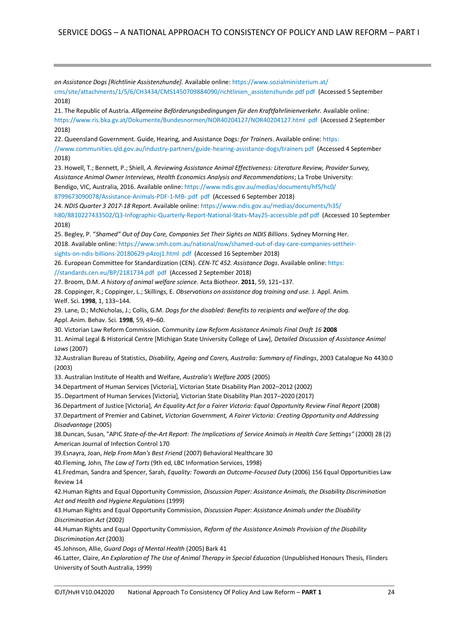*on Assistance Dogs [Richtlinie Assistenzhunde].* Available online: https://www.sozialministerium.at/ cms/site/attachments/1/5/6/CH3434/CMS1450709884090/richtlinien\_assistenzhunde.pdf pdf (Accessed 5 September 2018) 21. The Republic of Austria. *Allgemeine Beförderungsbedingungen für den Kraftfahrlinienverkehr.* Available online: https://www.ris.bka.gv.at/Dokumente/Bundesnormen/NOR40204127/NOR40204127.html pdf (Accessed 2 September 2018) 22. Queensland Government. Guide, Hearing, and Assistance Dogs*: for Trainers*. Available online: https: //www.communities.qld.gov.au/industry-partners/guide-hearing-assistance-dogs/trainers pdf (Accessed 4 September 2018) 23. Howell, T.; Bennett, P.; Shiell, *A. Reviewing Assistance Animal Effectiveness: Literature Review, Provider Survey, Assistance Animal Owner Interviews, Health Economics Analysis and Recommendations*; La Trobe University:

Bendigo, VIC, Australia, 2016. Available online: https://www.ndis.gov.au/medias/documents/hf5/hc0/

8799673090078/Assistance-Animals-PDF-1-MB-.pdf pdf (Accessed 6 September 2018)

24. *NDIS Quarter 3 2017-18 Report*. Available online: https://www.ndis.gov.au/medias/documents/h35/

h80/8810227433502/Q3-Infographic-Quarterly-Report-National-Stats-May25-accessible.pdf pdf (Accessed 10 September 2018)

25. Begley, P. "*Shamed" Out of Day Care, Companies Set Their Sights on NDIS Billions*. Sydney Morning Her. 2018. Available online: https://www.smh.com.au/national/nsw/shamed-out-of-day-care-companies-settheir-

sights-on-ndis-billions-20180629-p4zoj1.html pdf (Accessed 16 September 2018)

26. European Committee for Standardization (CEN). *CEN-TC 452. Assistance Dogs*. Available online: https:

//standards.cen.eu/BP/2181734.pdf pdf (Accessed 2 September 2018)

27. Broom, D.M. *A history of animal welfare science*. Acta Biotheor. **2011**, 59, 121–137.

28. Coppinger, R.; Coppinger, L.; Skillings, E. *Observations on assistance dog training and use.* J. Appl. Anim. Welf. Sci. **1998**, 1, 133–144.

29. Lane, D.; McNicholas, J.; Collis, G.M. *Dogs for the disabled: Benefits to recipients and welfare of the dog.* Appl. Anim. Behav. Sci. **1998**, 59, 49–60.

30. Victorian Law Reform Commission. Community *Law Reform Assistance Animals Final Draft 16* **2008**

31. Animal Legal & Historical Centre [Michigan State University College of Law], *Detailed Discussion of Assistance Animal Laws* (2007)

32.Australian Bureau of Statistics, *Disability, Ageing and Carers, Australia: Summary of Findings*, 2003 Catalogue No 4430.0 (2003)

33. Australian Institute of Health and Welfare, *Australia's Welfare 2005* (2005)

34.Department of Human Services [Victoria], Victorian State Disability Plan 2002–2012 (2002)

35..Department of Human Services [Victoria], Victorian State Disability Plan 2017–2020 (2017)

36.Department of Justice [Victoria], *An Equality Act for a Fairer Victoria: Equal Opportunity Review Final Report* (2008)

37.Department of Premier and Cabinet, *Victorian Government, A Fairer Victoria: Creating Opportunity and Addressing Disadvantage* (2005)

38.Duncan, Susan, "APIC *State-of-the-Art Report: The Implications of Service Animals in Health Care Settings"* (2000) 28 (2) American Journal of Infection Control 170

39.Esnayra, Joan, *Help From Man's Best Friend* (2007) Behavioral Healthcare 30

40.Fleming, John, *The Law of Torts* (9th ed, LBC Information Services, 1998)

41.Fredman, Sandra and Spencer, Sarah, *Equality: Towards an Outcome-Focused Duty* (2006) 156 Equal Opportunities Law Review 14

42.Human Rights and Equal Opportunity Commission, *Discussion Paper: Assistance Animals, the Disability Discrimination Act and Health and Hygiene Regulations* (1999)

43.Human Rights and Equal Opportunity Commission, *Discussion Paper: Assistance Animals under the Disability Discrimination Act* (2002)

44.Human Rights and Equal Opportunity Commission, *Reform of the Assistance Animals Provision of the Disability Discrimination Act* (2003)

45.Johnson, Allie, *Guard Dogs of Mental Health* (2005) Bark 41

46.Latter, Claire, *An Exploration of The Use of Animal Therapy in Special Education* (Unpublished Honours Thesis, Flinders University of South Australia, 1999)